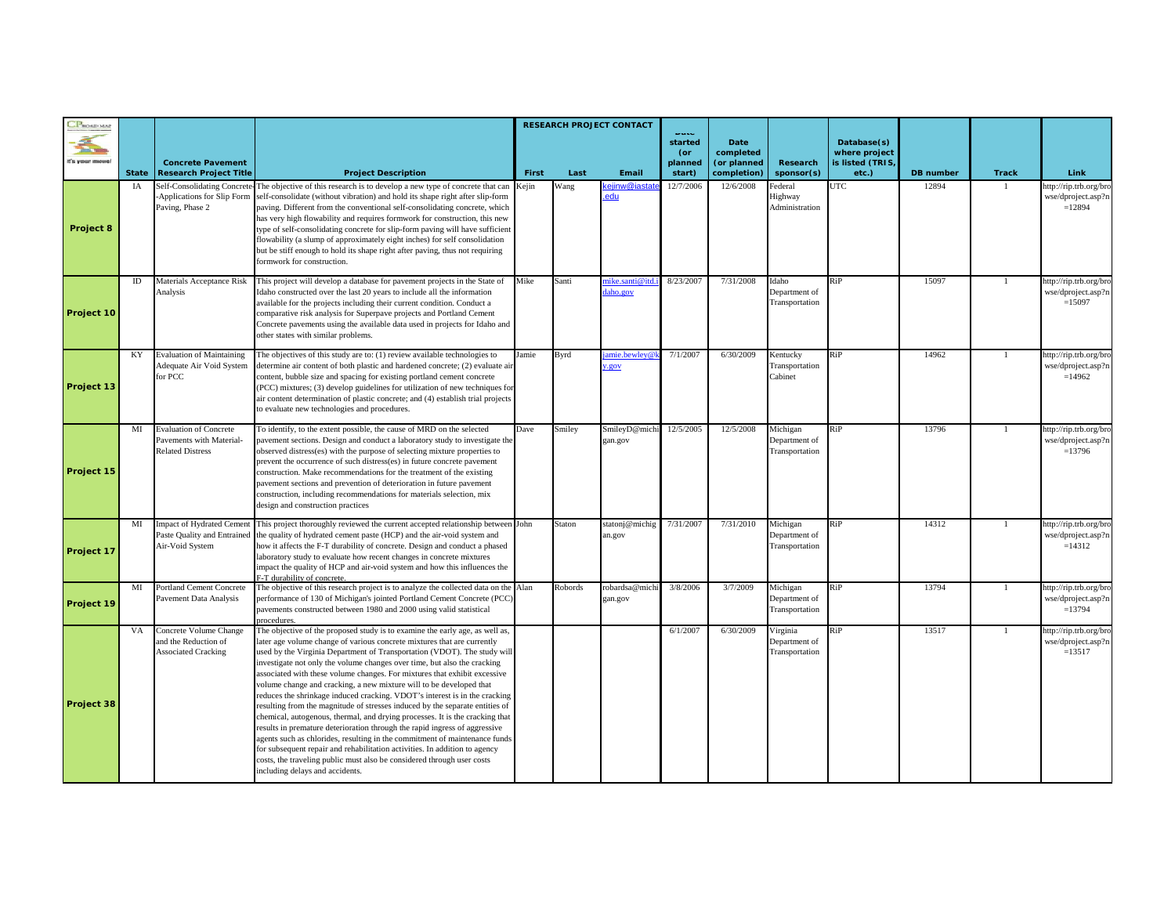| CPROMONAU  |              |                                                                                      |                                                                                                                                                                                                                                                                                                                                                                                                                                                                                                                                                                                                                                                                                                                                                                                                                                                                                                                                                                                                                                                                          | <b>RESEARCH PROJECT CONTACT</b> |         |                          | <b>Duce</b><br>started<br>(or | <b>Date</b><br>completed   |                                             | Database(s)<br>where project |                  |                |                                                          |
|------------|--------------|--------------------------------------------------------------------------------------|--------------------------------------------------------------------------------------------------------------------------------------------------------------------------------------------------------------------------------------------------------------------------------------------------------------------------------------------------------------------------------------------------------------------------------------------------------------------------------------------------------------------------------------------------------------------------------------------------------------------------------------------------------------------------------------------------------------------------------------------------------------------------------------------------------------------------------------------------------------------------------------------------------------------------------------------------------------------------------------------------------------------------------------------------------------------------|---------------------------------|---------|--------------------------|-------------------------------|----------------------------|---------------------------------------------|------------------------------|------------------|----------------|----------------------------------------------------------|
|            | <b>State</b> | <b>Concrete Pavement</b><br><b>Research Project Title</b>                            | <b>Project Description</b>                                                                                                                                                                                                                                                                                                                                                                                                                                                                                                                                                                                                                                                                                                                                                                                                                                                                                                                                                                                                                                               | First                           | Last    | Email                    | planned<br>start)             | (or planned<br>completion) | Research<br>sponsor(s)                      | is listed (TRIS)<br>etc.)    | <b>DB</b> number | <b>Track</b>   | Link                                                     |
| Project 8  | IA           | Self-Consolidating Concrete-<br>-Applications for Slip Form<br>Paving, Phase 2       | The objective of this research is to develop a new type of concrete that can<br>self-consolidate (without vibration) and hold its shape right after slip-form<br>paving. Different from the conventional self-consolidating concrete, which<br>has very high flowability and requires formwork for construction, this new<br>type of self-consolidating concrete for slip-form paving will have sufficient<br>flowability (a slump of approximately eight inches) for self consolidation<br>but be stiff enough to hold its shape right after paving, thus not requiring<br>formwork for construction.                                                                                                                                                                                                                                                                                                                                                                                                                                                                   | Kejin                           | Wang    | ejinw@ia<br>edu          | 12/7/2006                     | 12/6/2008                  | ederal<br>Highway<br>Administration         | UTC                          | 12894            |                | http://rip.trb.org/br<br>wse/dproject.asp?n<br>$=12894$  |
| Project 10 | ID           | Materials Acceptance Risk<br>Analysis                                                | This project will develop a database for pavement projects in the State of<br>Idaho constructed over the last 20 years to include all the information<br>available for the projects including their current condition. Conduct a<br>comparative risk analysis for Superpave projects and Portland Cement<br>Concrete pavements using the available data used in projects for Idaho and<br>other states with similar problems.                                                                                                                                                                                                                                                                                                                                                                                                                                                                                                                                                                                                                                            | Mike                            | Santi   | ike.santi@it<br>aho.gov  | 8/23/2007                     | 7/31/2008                  | Idaho<br>Department of<br>Transportation    | RiP                          | 15097            | 1              | http://rip.trb.org/bro<br>wse/dproject.asp?i<br>$=15097$ |
| Project 13 | KY           | <b>Evaluation of Maintaining</b><br>Adequate Air Void System<br>for PCC              | The objectives of this study are to: (1) review available technologies to<br>determine air content of both plastic and hardened concrete; (2) evaluate air<br>content, bubble size and spacing for existing portland cement concrete<br>(PCC) mixtures; (3) develop guidelines for utilization of new techniques for<br>air content determination of plastic concrete; and (4) establish trial projects<br>to evaluate new technologies and procedures.                                                                                                                                                                                                                                                                                                                                                                                                                                                                                                                                                                                                                  | Jamie                           | Byrd    | unie.bewley@<br>.gov     | 7/1/2007                      | 6/30/2009                  | Kentucky<br>Transportation<br>Cabinet       | $\overline{RiP}$             | 14962            | $\mathbf{1}$   | http://rip.trb.org/br<br>wse/dproject.asp?r<br>$=14962$  |
| Project 15 | MI           | <b>Evaluation of Concrete</b><br>Pavements with Material-<br><b>Related Distress</b> | To identify, to the extent possible, the cause of MRD on the selected<br>pavement sections. Design and conduct a laboratory study to investigate the<br>observed distress(es) with the purpose of selecting mixture properties to<br>prevent the occurrence of such distress(es) in future concrete pavement<br>construction. Make recommendations for the treatment of the existing<br>pavement sections and prevention of deterioration in future pavement<br>construction, including recommendations for materials selection, mix<br>design and construction practices                                                                                                                                                                                                                                                                                                                                                                                                                                                                                                | Dave                            | Smiley  | SmileyD@mich<br>gan.gov  | 12/5/2005                     | 12/5/2008                  | Michigan<br>Department of<br>Transportation | $\overline{RiP}$             | 13796            | $\blacksquare$ | http://rip.trb.org/bro<br>wse/dproject.asp?r<br>$=13796$ |
| Project 17 | MI           | mpact of Hydrated Cement<br>Air-Void System                                          | This project thoroughly reviewed the current accepted relationship between John<br>Paste Quality and Entrained the quality of hydrated cement paste (HCP) and the air-void system and<br>how it affects the F-T durability of concrete. Design and conduct a phased<br>laboratory study to evaluate how recent changes in concrete mixtures<br>impact the quality of HCP and air-void system and how this influences the<br><sup>7</sup> -T durability of concrete.                                                                                                                                                                                                                                                                                                                                                                                                                                                                                                                                                                                                      |                                 | Staton  | statonj@michig<br>an.gov | 7/31/2007                     | 7/31/2010                  | Michigan<br>Department of<br>Transportation | RiP                          | 14312            | $\mathbf{1}$   | http://rip.trb.org/br<br>wse/dproject.asp?r<br>$=14312$  |
| Project 19 | MI           | Portland Cement Concrete<br>Pavement Data Analysis                                   | The objective of this research project is to analyze the collected data on the Alan<br>performance of 130 of Michigan's jointed Portland Cement Concrete (PCC)<br>pavements constructed between 1980 and 2000 using valid statistical<br>procedures.                                                                                                                                                                                                                                                                                                                                                                                                                                                                                                                                                                                                                                                                                                                                                                                                                     |                                 | Robords | robardsa@mich<br>gan.gov | 3/8/2006                      | 3/7/2009                   | Michigan<br>Department of<br>Transportation | RiP                          | 13794            |                | http://rip.trb.org/bro<br>wse/dproject.asp?n<br>$=13794$ |
| Project 38 | VA           | Concrete Volume Change<br>and the Reduction of<br><b>Associated Cracking</b>         | The objective of the proposed study is to examine the early age, as well as,<br>later age volume change of various concrete mixtures that are currently<br>used by the Virginia Department of Transportation (VDOT). The study will<br>investigate not only the volume changes over time, but also the cracking<br>associated with these volume changes. For mixtures that exhibit excessive<br>volume change and cracking, a new mixture will to be developed that<br>reduces the shrinkage induced cracking. VDOT's interest is in the cracking<br>resulting from the magnitude of stresses induced by the separate entities of<br>chemical, autogenous, thermal, and drying processes. It is the cracking that<br>results in premature deterioration through the rapid ingress of aggressive<br>agents such as chlorides, resulting in the commitment of maintenance funds<br>for subsequent repair and rehabilitation activities. In addition to agency<br>costs, the traveling public must also be considered through user costs<br>including delays and accidents. |                                 |         |                          | 6/1/2007                      | 6/30/2009                  | Virginia<br>Department of<br>Transportation | RiP                          | 13517            |                | http://rip.trb.org/bro<br>wse/dproject.asp?r<br>$=13517$ |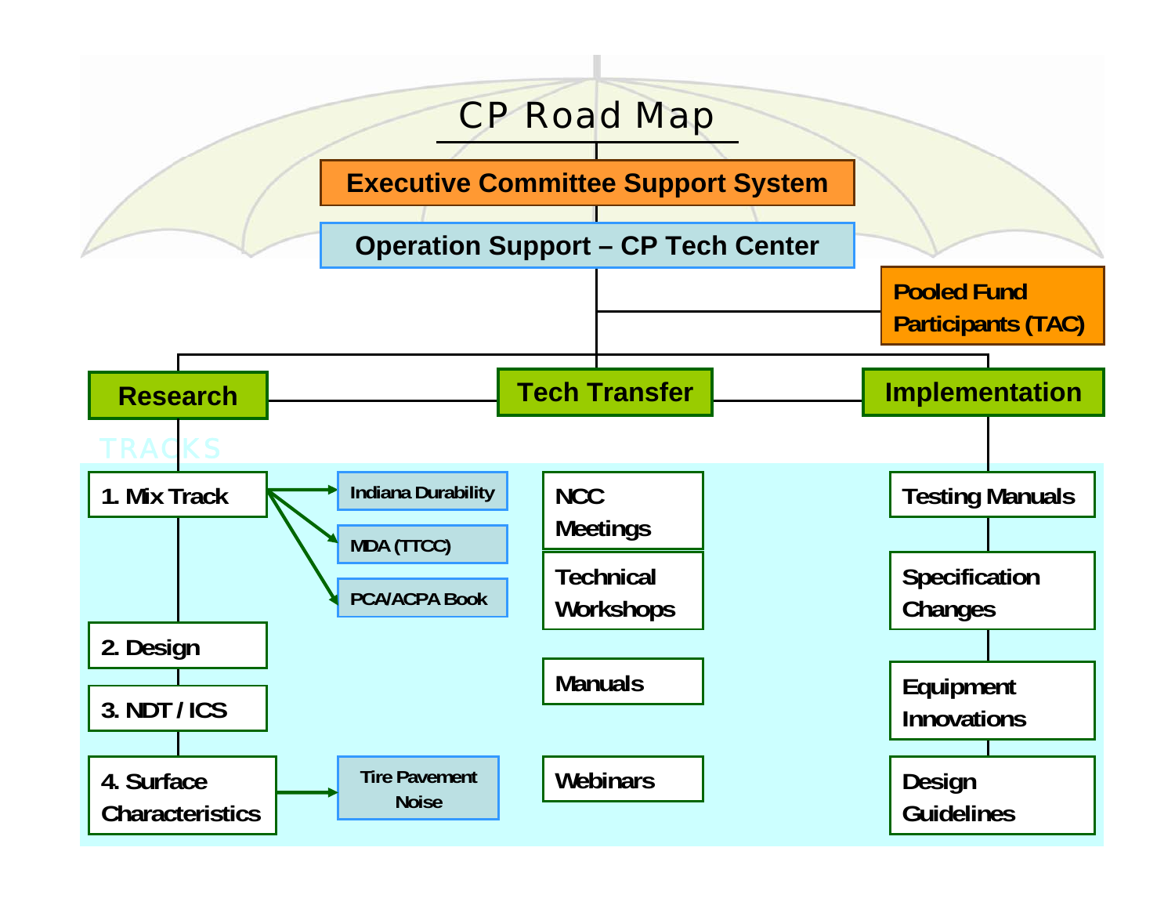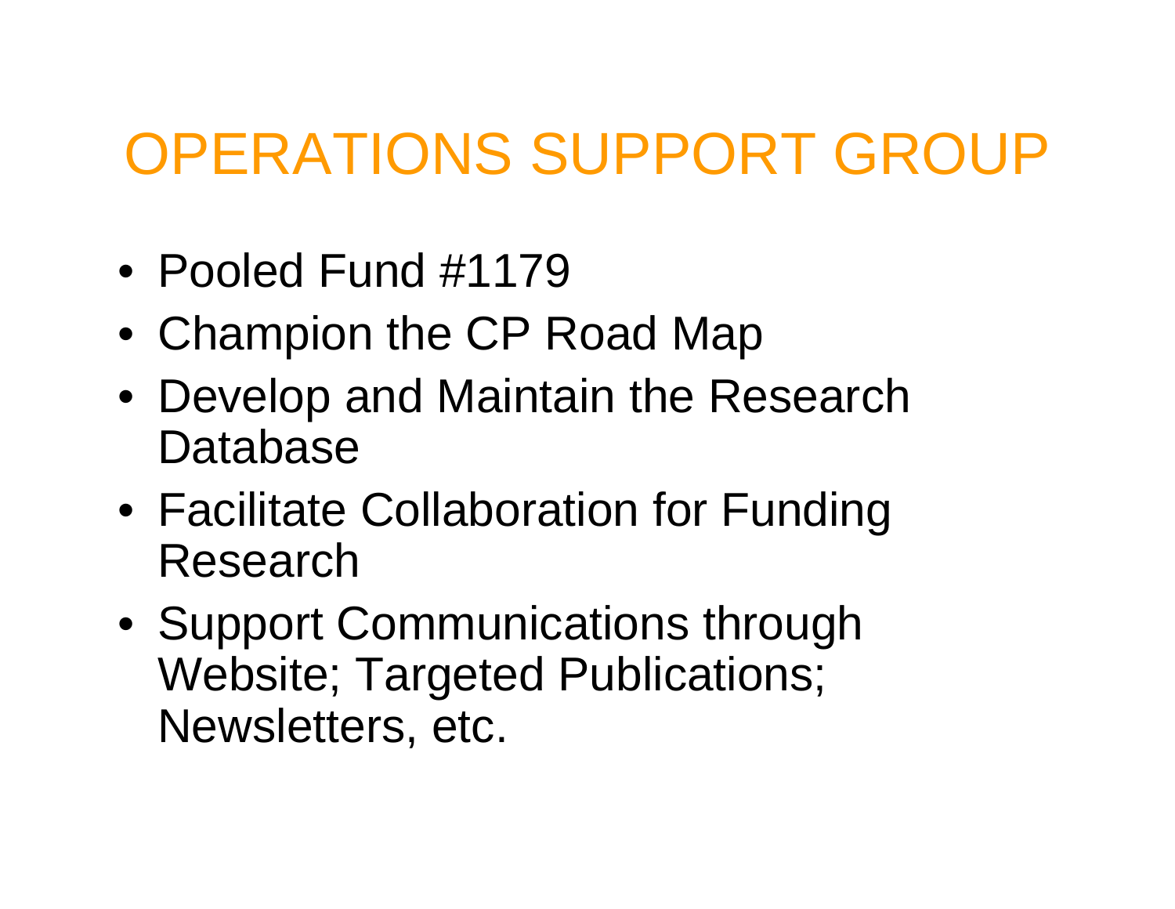#### OPERATIONS SUPPORT GROUP

- Pooled Fund #1179
- Champion the CP Road Map
- Develop and Maintain the Research Database
- Facilitate Collaboration for Funding Research
- Support Communications through Website; Targeted Publications; Newsletters, etc.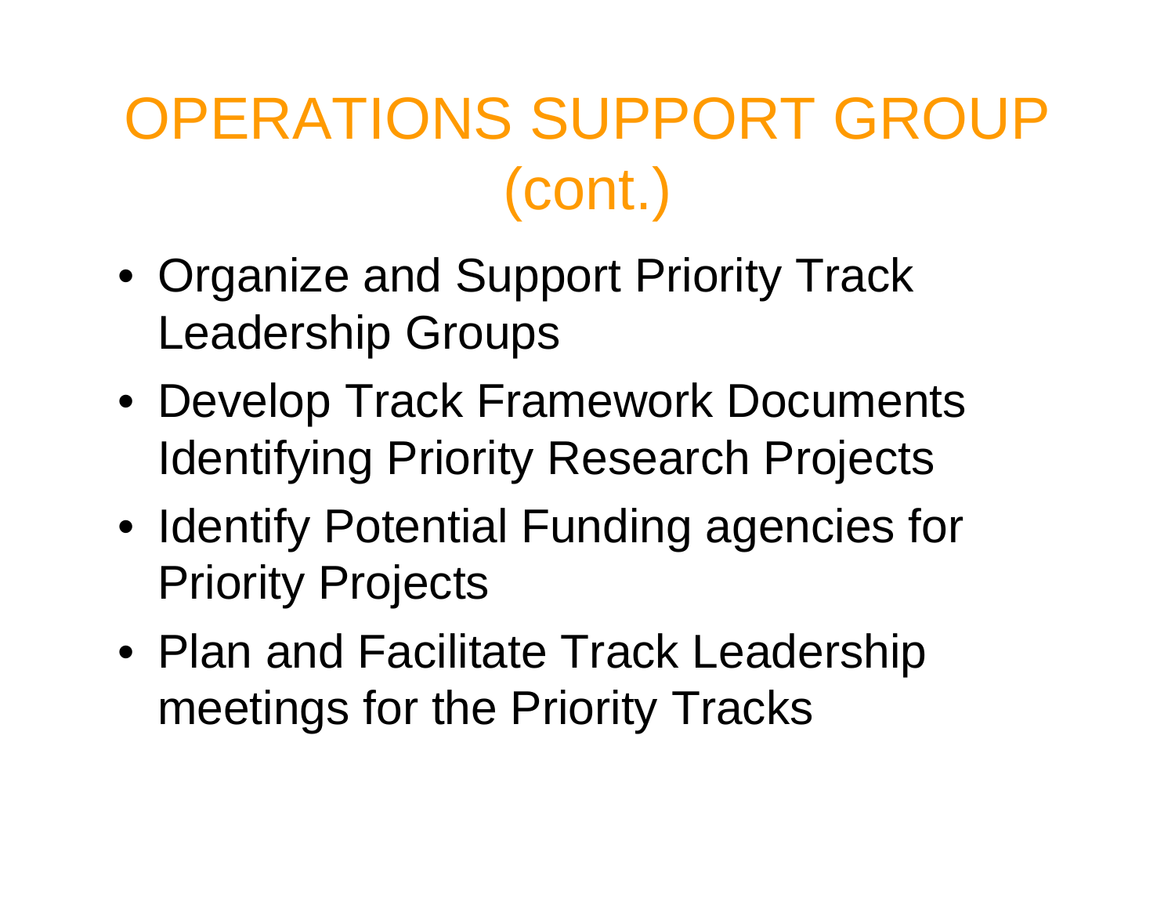# OPERATIONS SUPPORT GROUP (cont.)

- Organize and Support Priority Track Leadership Groups
- Develop Track Framework Documents Identifying Priority Research Projects
- Identify Potential Funding agencies for Priority Projects
- Plan and Facilitate Track Leadership meetings for the Priority Tracks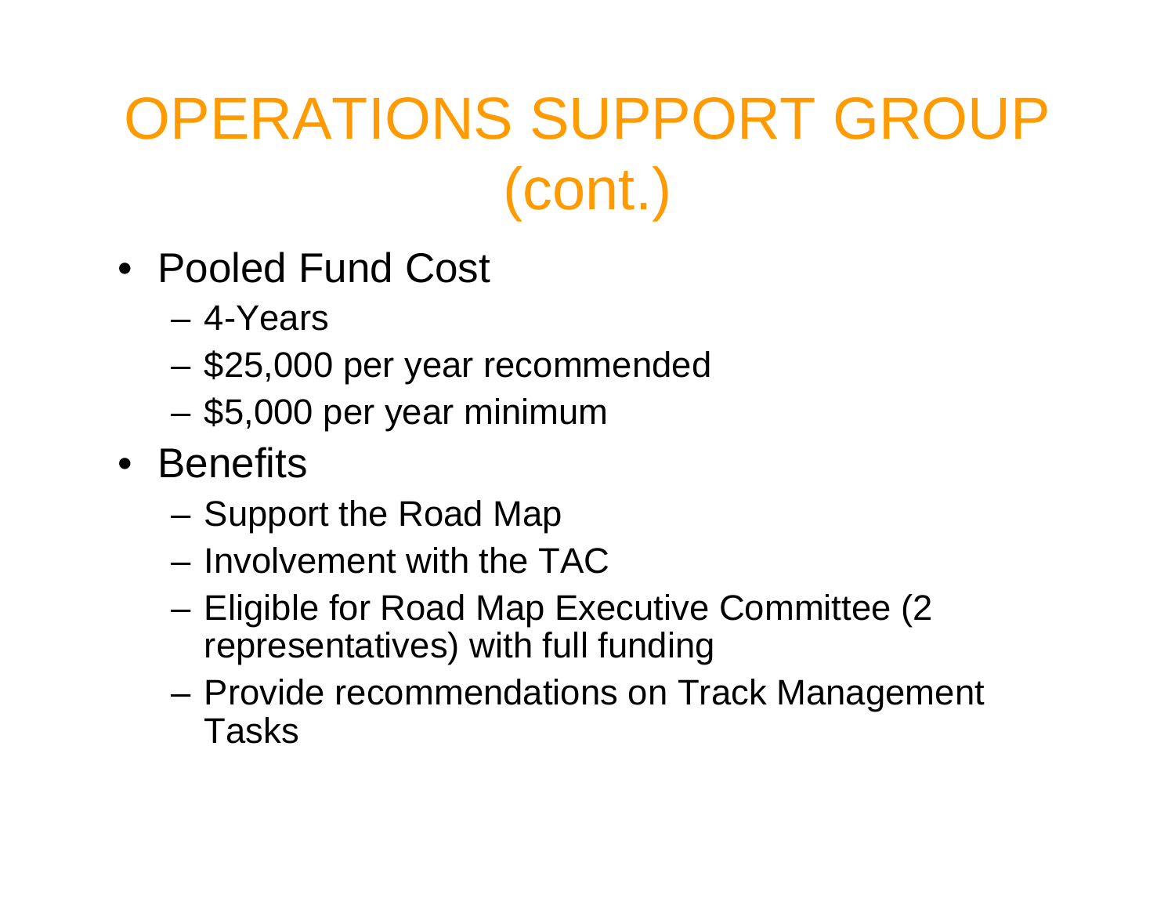## OPERATIONS SUPPORT GROUP (cont.)

- Pooled Fund Cost
	- 4-Years
	- **Links of the Company** \$25,000 per year recommended
	- and the state of the \$5,000 per year minimum
- Benefits
	- and the state of the Support the Road Map
	- Involvement with the TAC
	- **Links of the Company**  Eligible for Road Map Executive Committee (2 representatives) with full funding
	- and the state of the Provide recommendations on Track Management Tasks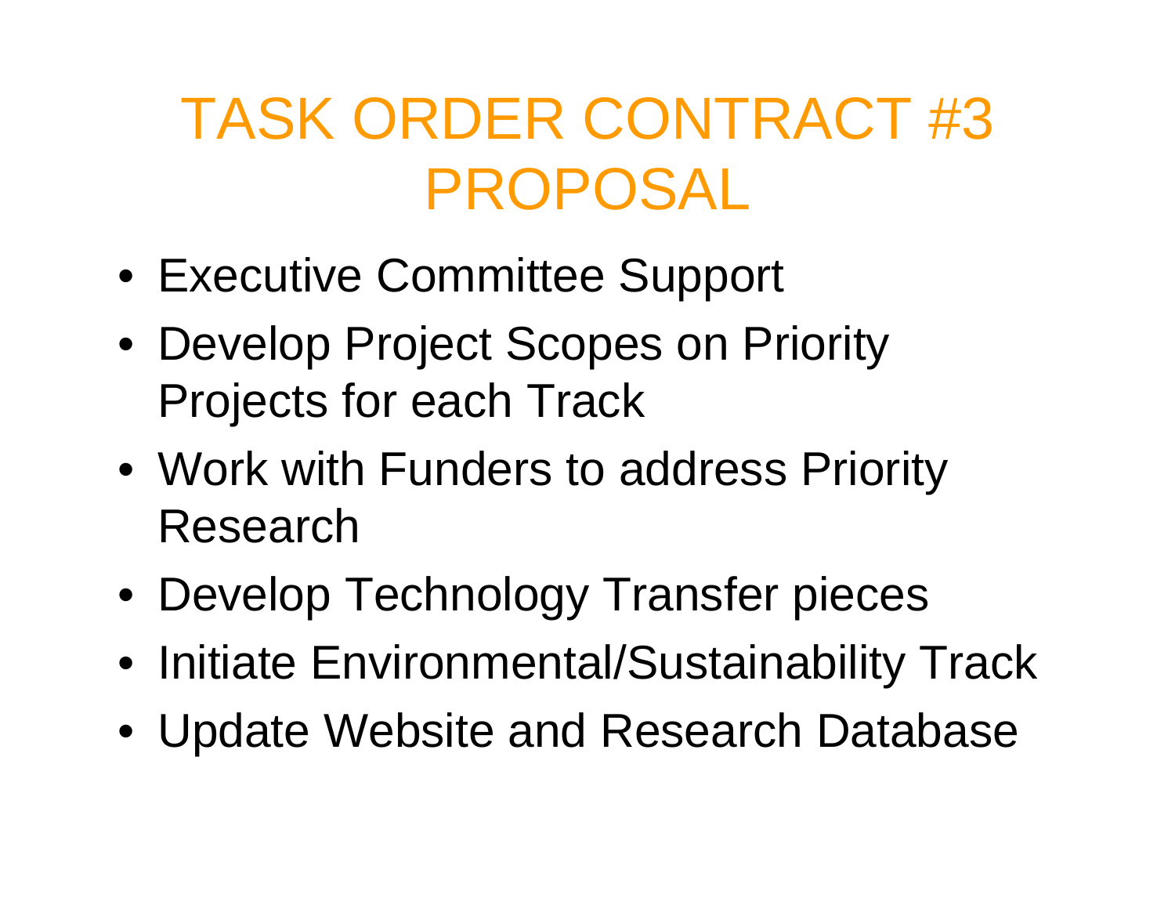### TASK ORDER CONTRACT #3 PROPOSAL

- Executive Committee Support
- Develop Project Scopes on Priority Projects for each Track
- Work with Funders to address Priority Research
- Develop Technology Transfer pieces
- Initiate Environmental/Sustainability Track
- Update Website and Research Database